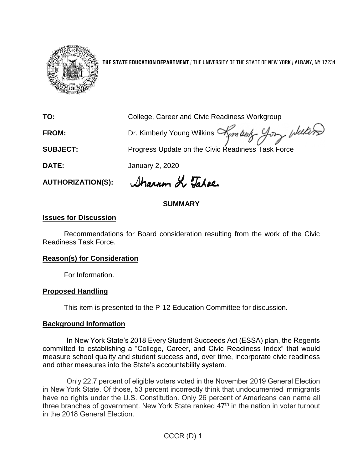

**THE STATE EDUCATION DEPARTMENT** / THE UNIVERSITY OF THE STATE OF NEW YORK / ALBANY, NY 12234

**TO:** College, Career and Civic Readiness Workgroup FROM: Dr. Kimberly Young Wilkins Am boly Joy Welling **SUBJECT:** Progress Update on the Civic Readiness Task Force **DATE:** January 2, 2020

**AUTHORIZATION(S):**

Sharron Le Tabae

## **SUMMARY**

### **Issues for Discussion**

Recommendations for Board consideration resulting from the work of the Civic Readiness Task Force.

#### **Reason(s) for Consideration**

For Information.

### **Proposed Handling**

This item is presented to the P-12 Education Committee for discussion.

#### **Background Information**

In New York State's 2018 Every Student Succeeds Act (ESSA) plan, the Regents committed to establishing a "College, Career, and Civic Readiness Index" that would measure school quality and student success and, over time, incorporate civic readiness and other measures into the State's accountability system.

Only 22.7 percent of eligible voters voted in the November 2019 General Election in New York State. Of those, 53 percent incorrectly think that undocumented immigrants have no rights under the U.S. Constitution. Only 26 percent of Americans can name all three branches of government. New York State ranked 47<sup>th</sup> in the nation in voter turnout in the 2018 General Election.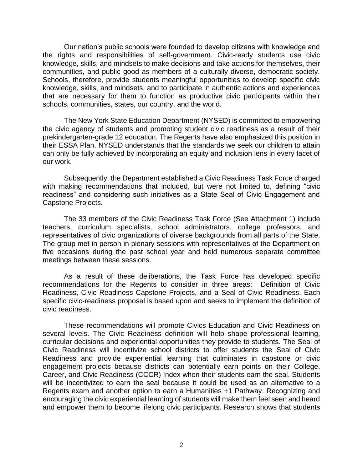Our nation's public schools were founded to develop citizens with knowledge and the rights and responsibilities of self-government. Civic-ready students use civic knowledge, skills, and mindsets to make decisions and take actions for themselves, their communities, and public good as members of a culturally diverse, democratic society. Schools, therefore, provide students meaningful opportunities to develop specific civic knowledge, skills, and mindsets, and to participate in authentic actions and experiences that are necessary for them to function as productive civic participants within their schools, communities, states, our country, and the world.

The New York State Education Department (NYSED) is committed to empowering the civic agency of students and promoting student civic readiness as a result of their prekindergarten-grade 12 education. The Regents have also emphasized this position in their ESSA Plan. NYSED understands that the standards we seek our children to attain can only be fully achieved by incorporating an equity and inclusion lens in every facet of our work.

Subsequently, the Department established a Civic Readiness Task Force charged with making recommendations that included, but were not limited to, defining "civic readiness" and considering such initiatives as a State Seal of Civic Engagement and Capstone Projects.

The 33 members of the Civic Readiness Task Force (See Attachment 1) include teachers, curriculum specialists, school administrators, college professors, and representatives of civic organizations of diverse backgrounds from all parts of the State. The group met in person in plenary sessions with representatives of the Department on five occasions during the past school year and held numerous separate committee meetings between these sessions.

As a result of these deliberations, the Task Force has developed specific recommendations for the Regents to consider in three areas: Definition of Civic Readiness, Civic Readiness Capstone Projects, and a Seal of Civic Readiness. Each specific civic-readiness proposal is based upon and seeks to implement the definition of civic readiness.

These recommendations will promote Civics Education and Civic Readiness on several levels. The Civic Readiness definition will help shape professional learning, curricular decisions and experiential opportunities they provide to students. The Seal of Civic Readiness will incentivize school districts to offer students the Seal of Civic Readiness and provide experiential learning that culminates in capstone or civic engagement projects because districts can potentially earn points on their College, Career, and Civic Readiness (CCCR) Index when their students earn the seal. Students will be incentivized to earn the seal because it could be used as an alternative to a Regents exam and another option to earn a Humanities +1 Pathway. Recognizing and encouraging the civic experiential learning of students will make them feel seen and heard and empower them to become lifelong civic participants. Research shows that students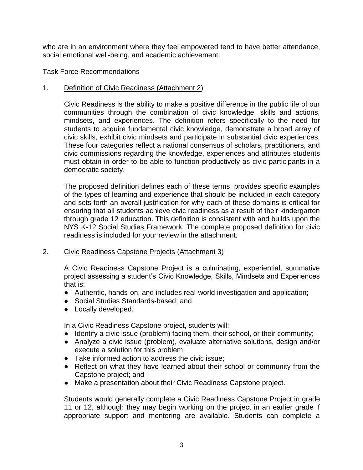who are in an environment where they feel empowered tend to have better attendance, social emotional well-being, and academic achievement.

#### Task Force Recommendations

#### 1. Definition of Civic Readiness (Attachment 2)

Civic Readiness is the ability to make a positive difference in the public life of our communities through the combination of civic knowledge, skills and actions, mindsets, and experiences. The definition refers specifically to the need for students to acquire fundamental civic knowledge, demonstrate a broad array of civic skills, exhibit civic mindsets and participate in substantial civic experiences. These four categories reflect a national consensus of scholars, practitioners, and civic commissions regarding the knowledge, experiences and attributes students must obtain in order to be able to function productively as civic participants in a democratic society.

The proposed definition defines each of these terms, provides specific examples of the types of learning and experience that should be included in each category and sets forth an overall justification for why each of these domains is critical for ensuring that all students achieve civic readiness as a result of their kindergarten through grade 12 education. This definition is consistent with and builds upon the NYS K-12 Social Studies Framework. The complete proposed definition for civic readiness is included for your review in the attachment.

#### 2. Civic Readiness Capstone Projects (Attachment 3)

A Civic Readiness Capstone Project is a culminating, experiential, summative project assessing a student's Civic Knowledge, Skills, Mindsets and Experiences that is:

- Authentic, hands-on, and includes real-world investigation and application;
- Social Studies Standards-based; and
- Locally developed.

In a Civic Readiness Capstone project, students will:

- Identify a civic issue (problem) facing them, their school, or their community;
- Analyze a civic issue (problem), evaluate alternative solutions, design and/or execute a solution for this problem;
- Take informed action to address the civic issue;
- Reflect on what they have learned about their school or community from the Capstone project; and
- Make a presentation about their Civic Readiness Capstone project.

Students would generally complete a Civic Readiness Capstone Project in grade 11 or 12, although they may begin working on the project in an earlier grade if appropriate support and mentoring are available. Students can complete a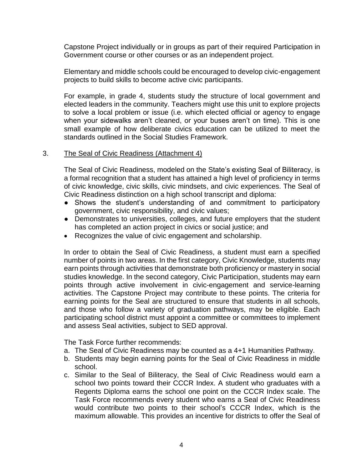Capstone Project individually or in groups as part of their required Participation in Government course or other courses or as an independent project.

Elementary and middle schools could be encouraged to develop civic-engagement projects to build skills to become active civic participants.

For example, in grade 4, students study the structure of local government and elected leaders in the community. Teachers might use this unit to explore projects to solve a local problem or issue (i.e. which elected official or agency to engage when your sidewalks aren't cleaned, or your buses aren't on time). This is one small example of how deliberate civics education can be utilized to meet the standards outlined in the Social Studies Framework.

#### 3. The Seal of Civic Readiness (Attachment 4)

The Seal of Civic Readiness, modeled on the State's existing Seal of Biliteracy, is a formal recognition that a student has attained a high level of proficiency in terms of civic knowledge, civic skills, civic mindsets, and civic experiences. The Seal of Civic Readiness distinction on a high school transcript and diploma:

- Shows the student's understanding of and commitment to participatory government, civic responsibility, and civic values;
- Demonstrates to universities, colleges, and future employers that the student has completed an action project in civics or social justice; and
- Recognizes the value of civic engagement and scholarship.

In order to obtain the Seal of Civic Readiness, a student must earn a specified number of points in two areas. In the first category, Civic Knowledge, students may earn points through activities that demonstrate both proficiency or mastery in social studies knowledge. In the second category, Civic Participation, students may earn points through active involvement in civic-engagement and service-learning activities. The Capstone Project may contribute to these points. The criteria for earning points for the Seal are structured to ensure that students in all schools, and those who follow a variety of graduation pathways, may be eligible. Each participating school district must appoint a committee or committees to implement and assess Seal activities, subject to SED approval.

The Task Force further recommends:

- a. The Seal of Civic Readiness may be counted as a 4+1 Humanities Pathway.
- b. Students may begin earning points for the Seal of Civic Readiness in middle school.
- c. Similar to the Seal of Biliteracy, the Seal of Civic Readiness would earn a school two points toward their CCCR Index. A student who graduates with a Regents Diploma earns the school one point on the CCCR Index scale. The Task Force recommends every student who earns a Seal of Civic Readiness would contribute two points to their school's CCCR Index, which is the maximum allowable. This provides an incentive for districts to offer the Seal of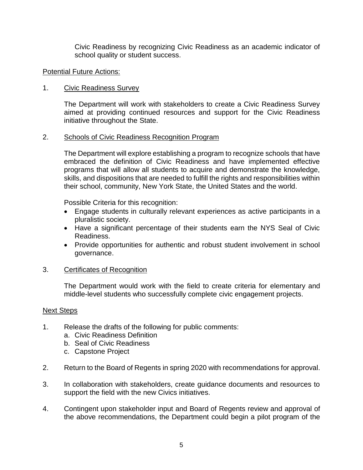Civic Readiness by recognizing Civic Readiness as an academic indicator of school quality or student success.

#### Potential Future Actions:

#### 1. Civic Readiness Survey

The Department will work with stakeholders to create a Civic Readiness Survey aimed at providing continued resources and support for the Civic Readiness initiative throughout the State.

#### 2. Schools of Civic Readiness Recognition Program

The Department will explore establishing a program to recognize schools that have embraced the definition of Civic Readiness and have implemented effective programs that will allow all students to acquire and demonstrate the knowledge, skills, and dispositions that are needed to fulfill the rights and responsibilities within their school, community, New York State, the United States and the world.

Possible Criteria for this recognition:

- Engage students in culturally relevant experiences as active participants in a pluralistic society.
- Have a significant percentage of their students earn the NYS Seal of Civic Readiness.
- Provide opportunities for authentic and robust student involvement in school governance.

#### 3. Certificates of Recognition

The Department would work with the field to create criteria for elementary and middle-level students who successfully complete civic engagement projects.

#### Next Steps

- 1. Release the drafts of the following for public comments:
	- a. Civic Readiness Definition
	- b. Seal of Civic Readiness
	- c. Capstone Project
- 2. Return to the Board of Regents in spring 2020 with recommendations for approval.
- 3. In collaboration with stakeholders, create guidance documents and resources to support the field with the new Civics initiatives.
- 4. Contingent upon stakeholder input and Board of Regents review and approval of the above recommendations, the Department could begin a pilot program of the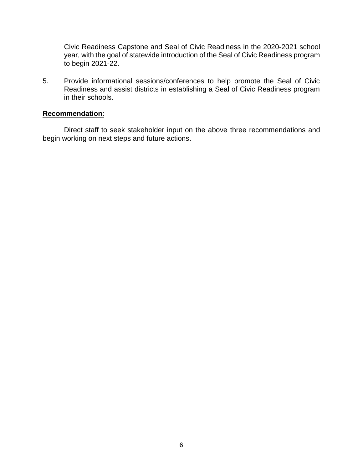Civic Readiness Capstone and Seal of Civic Readiness in the 2020-2021 school year, with the goal of statewide introduction of the Seal of Civic Readiness program to begin 2021-22.

5. Provide informational sessions/conferences to help promote the Seal of Civic Readiness and assist districts in establishing a Seal of Civic Readiness program in their schools.

#### **Recommendation**:

Direct staff to seek stakeholder input on the above three recommendations and begin working on next steps and future actions.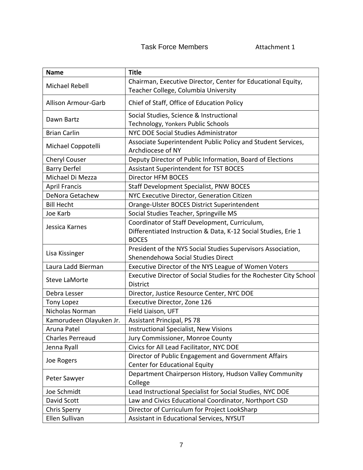## Task Force Members **Attachment 1**

| <b>Name</b>                | <b>Title</b>                                                                      |  |
|----------------------------|-----------------------------------------------------------------------------------|--|
| Michael Rebell             | Chairman, Executive Director, Center for Educational Equity,                      |  |
|                            | Teacher College, Columbia University                                              |  |
| <b>Allison Armour-Garb</b> | Chief of Staff, Office of Education Policy                                        |  |
| Dawn Bartz                 | Social Studies, Science & Instructional                                           |  |
|                            | Technology, Yonkers Public Schools                                                |  |
| <b>Brian Carlin</b>        | NYC DOE Social Studies Administrator                                              |  |
| Michael Coppotelli         | Associate Superintendent Public Policy and Student Services,<br>Archdiocese of NY |  |
| Cheryl Couser              | Deputy Director of Public Information, Board of Elections                         |  |
| <b>Barry Derfel</b>        | Assistant Superintendent for TST BOCES                                            |  |
| Michael Di Mezza           | Director HFM BOCES                                                                |  |
| <b>April Francis</b>       | Staff Development Specialist, PNW BOCES                                           |  |
| DeNora Getachew            | NYC Executive Director, Generation Citizen                                        |  |
| <b>Bill Hecht</b>          | Orange-Ulster BOCES District Superintendent                                       |  |
| Joe Karb                   | Social Studies Teacher, Springville MS                                            |  |
|                            | Coordinator of Staff Development, Curriculum,                                     |  |
| Jessica Karnes             | Differentiated Instruction & Data, K-12 Social Studies, Erie 1                    |  |
|                            | <b>BOCES</b>                                                                      |  |
| Lisa Kissinger             | President of the NYS Social Studies Supervisors Association,                      |  |
|                            | Shenendehowa Social Studies Direct                                                |  |
| Laura Ladd Bierman         | Executive Director of the NYS League of Women Voters                              |  |
| <b>Steve LaMorte</b>       | Executive Director of Social Studies for the Rochester City School                |  |
|                            | <b>District</b>                                                                   |  |
| Debra Lesser               | Director, Justice Resource Center, NYC DOE                                        |  |
| <b>Tony Lopez</b>          | Executive Director, Zone 126                                                      |  |
| Nicholas Norman            | Field Liaison, UFT                                                                |  |
| Kamorudeen Olayuken Jr.    | <b>Assistant Principal, PS 78</b>                                                 |  |
| Aruna Patel                | <b>Instructional Specialist, New Visions</b>                                      |  |
| <b>Charles Perreaud</b>    | Jury Commissioner, Monroe County                                                  |  |
| Jenna Ryall                | Civics for All Lead Facilitator, NYC DOE                                          |  |
| Joe Rogers                 | Director of Public Engagement and Government Affairs                              |  |
|                            | Center for Educational Equity                                                     |  |
|                            | Department Chairperson History, Hudson Valley Community                           |  |
| Peter Sawyer               | College                                                                           |  |
| Joe Schmidt                | Lead Instructional Specialist for Social Studies, NYC DOE                         |  |
| David Scott                | Law and Civics Educational Coordinator, Northport CSD                             |  |
| <b>Chris Sperry</b>        | Director of Curriculum for Project LookSharp                                      |  |
| Ellen Sullivan             | Assistant in Educational Services, NYSUT                                          |  |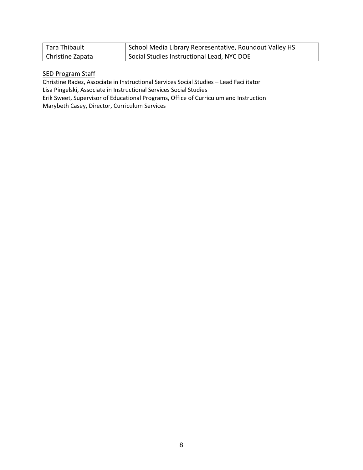| Tara Thibault    | School Media Library Representative, Roundout Valley HS |
|------------------|---------------------------------------------------------|
| Christine Zapata | Social Studies Instructional Lead, NYC DOE              |

#### **SED Program Staff**

Christine Radez, Associate in Instructional Services Social Studies – Lead Facilitator Lisa Pingelski, Associate in Instructional Services Social Studies Erik Sweet, Supervisor of Educational Programs, Office of Curriculum and Instruction

Marybeth Casey, Director, Curriculum Services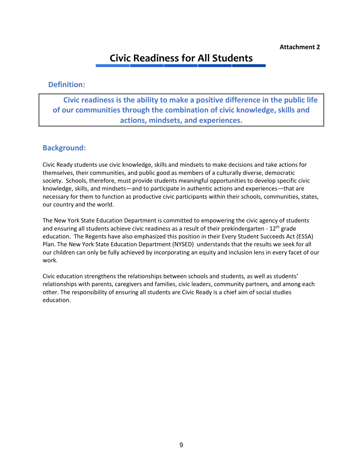## **Civic Readiness for All Students**

#### **Definition:**

 **Civic readiness is the ability to make a positive difference in the public life of our communities through the combination of civic knowledge, skills and actions, mindsets, and experiences.** 

### **Background:**

Civic Ready students use civic knowledge, skills and mindsets to make decisions and take actions for themselves, their communities, and public good as members of a culturally diverse, democratic society. Schools, therefore, must provide students meaningful opportunities to develop specific civic knowledge, skills, and mindsets—and to participate in authentic actions and experiences—that are necessary for them to function as productive civic participants within their schools, communities, states, our country and the world.

The New York State Education Department is committed to empowering the civic agency of students and ensuring all students achieve civic readiness as a result of their prekindergarten -  $12<sup>th</sup>$  grade education. The Regents have also emphasized this position in their Every Student Succeeds Act (ESSA) Plan. The New York State Education Department (NYSED) understands that the results we seek for all our children can only be fully achieved by incorporating an equity and inclusion lens in every facet of our work.

Civic education strengthens the relationships between schools and students, as well as students' relationships with parents, caregivers and families, civic leaders, community partners, and among each other. The responsibility of ensuring all students are Civic Ready is a chief aim of social studies education.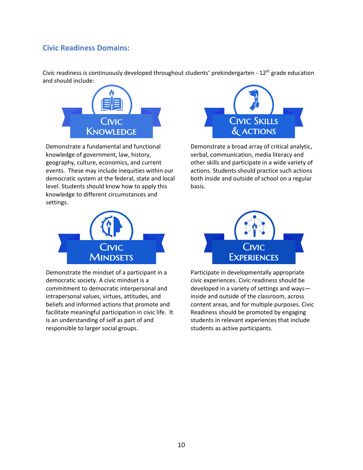## **Civic Readiness Domains:**

Civic readiness is continuously developed throughout students' prekindergarten - 12<sup>th</sup> grade education and should include:



Demonstrate a fundamental and functional knowledge of government, law, history, geography, culture, economics, and current events. These may include inequities within our democratic system at the federal, state and local level. Students should know how to apply this knowledge to different circumstances and settings.



Demonstrate the mindset of a participant in a democratic society. A civic mindset is a commitment to democratic interpersonal and intrapersonal values, virtues, attitudes, and beliefs and informed actions that promote and facilitate meaningful participation in civic life. It is an understanding of self as part of and responsible to larger social groups.



Demonstrate a broad array of critical analytic, verbal, communication, media literacy and other skills and participate in a wide variety of actions. Students should practice such actions both inside and outside of school on a regular basis.



Participate in developmentally appropriate civic experiences. Civic readiness should be developed in a variety of settings and ways inside and outside of the classroom, across content areas, and for multiple purposes. Civic Readiness should be promoted by engaging students in relevant experiences that include students as active participants.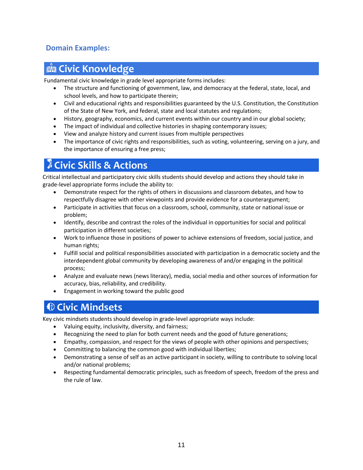## **Domain Examples:**

## **Civic Knowledge**

Fundamental civic knowledge in grade level appropriate forms includes:

- The structure and functioning of government, law, and democracy at the federal, state, local, and school levels, and how to participate therein;
- Civil and educational rights and responsibilities guaranteed by the U.S. Constitution, the Constitution of the State of New York, and federal, state and local statutes and regulations;
- History, geography, economics, and current events within our country and in our global society;
- The impact of individual and collective histories in shaping contemporary issues;
- View and analyze history and current issues from multiple perspectives
- The importance of civic rights and responsibilities, such as voting, volunteering, serving on a jury, and the importance of ensuring a free press;

## **Civic Skills & Actions**

Critical intellectual and participatory civic skills students should develop and actions they should take in grade-level appropriate forms include the ability to:

- Demonstrate respect for the rights of others in discussions and classroom debates, and how to respectfully disagree with other viewpoints and provide evidence for a counterargument;
- Participate in activities that focus on a classroom, school, community, state or national issue or problem;
- Identify, describe and contrast the roles of the individual in opportunities for social and political participation in different societies;
- Work to influence those in positions of power to achieve extensions of freedom, social justice, and human rights;
- Fulfill social and political responsibilities associated with participation in a democratic society and the interdependent global community by developing awareness of and/or engaging in the political process;
- Analyze and evaluate news (news literacy), media, social media and other sources of information for accuracy, bias, reliability, and credibility.
- Engagement in working toward the public good

## **Civic Mindsets**

Key civic mindsets students should develop in grade-level appropriate ways include:

- Valuing equity, inclusivity, diversity, and fairness;
- Recognizing the need to plan for both current needs and the good of future generations;
- Empathy, compassion, and respect for the views of people with other opinions and perspectives;
- Committing to balancing the common good with individual liberties;
- Demonstrating a sense of self as an active participant in society, willing to contribute to solving local and/or national problems;
- Respecting fundamental democratic principles, such as freedom of speech, freedom of the press and the rule of law.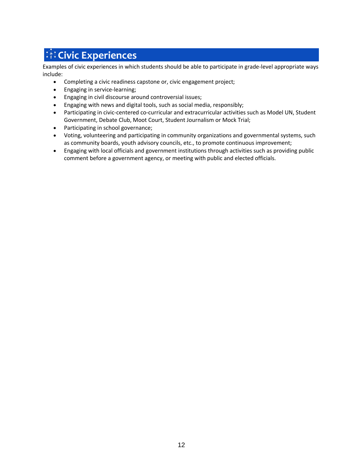# **Ki Civic Experiences**

Examples of civic experiences in which students should be able to participate in grade-level appropriate ways include:

- Completing a civic readiness capstone or, civic engagement project;
- Engaging in service-learning;
- Engaging in civil discourse around controversial issues;
- Engaging with news and digital tools, such as social media, responsibly;
- Participating in civic-centered co-curricular and extracurricular activities such as Model UN, Student Government, Debate Club, Moot Court, Student Journalism or Mock Trial;
- Participating in school governance;
- Voting, volunteering and participating in community organizations and governmental systems, such as community boards, youth advisory councils, etc., to promote continuous improvement;
- Engaging with local officials and government institutions through activities such as providing public comment before a government agency, or meeting with public and elected officials.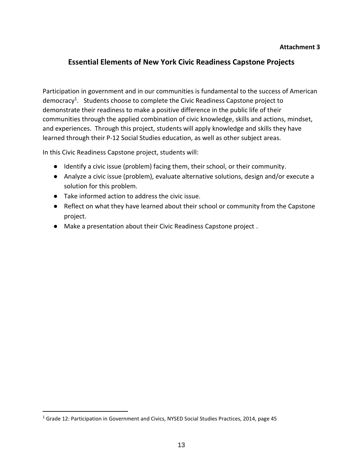#### **Attachment 3**

### **Essential Elements of New York Civic Readiness Capstone Projects**

Participation in government and in our communities is fundamental to the success of American democracy<sup>1</sup>. Students choose to complete the Civic Readiness Capstone project to demonstrate their readiness to make a positive difference in the public life of their communities through the applied combination of civic knowledge, skills and actions, mindset, and experiences. Through this project, students will apply knowledge and skills they have learned through their P-12 Social Studies education, as well as other subject areas.

In this Civic Readiness Capstone project, students will:

- Identify a civic issue (problem) facing them, their school, or their community.
- Analyze a civic issue (problem), evaluate alternative solutions, design and/or execute a solution for this problem.
- Take informed action to address the civic issue.
- Reflect on what they have learned about their school or community from the Capstone project.
- Make a presentation about their Civic Readiness Capstone project .

l

<sup>&</sup>lt;sup>1</sup> Grade 12: Participation in Government and Civics, NYSED Social Studies Practices, 2014, page 45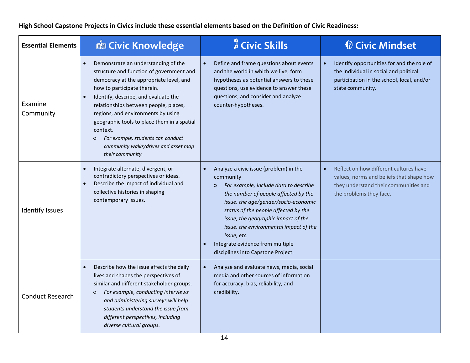**High School Capstone Projects in Civics include these essential elements based on the Definition of Civic Readiness:** 

| <b>Essential Elements</b> | <b>B</b> Civic Knowledge                                                                                                                                                                                                                                                                                                                                                                                                                                             | <b>A</b> Civic Skills                                                                                                                                                                                                                                                                                                                                                                                     | <b><i>Civic Mindset</i></b>                                                                                                                            |
|---------------------------|----------------------------------------------------------------------------------------------------------------------------------------------------------------------------------------------------------------------------------------------------------------------------------------------------------------------------------------------------------------------------------------------------------------------------------------------------------------------|-----------------------------------------------------------------------------------------------------------------------------------------------------------------------------------------------------------------------------------------------------------------------------------------------------------------------------------------------------------------------------------------------------------|--------------------------------------------------------------------------------------------------------------------------------------------------------|
| Examine<br>Community      | Demonstrate an understanding of the<br>structure and function of government and<br>democracy at the appropriate level, and<br>how to participate therein.<br>Identify, describe, and evaluate the<br>$\bullet$<br>relationships between people, places,<br>regions, and environments by using<br>geographic tools to place them in a spatial<br>context.<br>For example, students can conduct<br>$\circ$<br>community walks/drives and asset map<br>their community. | Define and frame questions about events<br>$\bullet$<br>and the world in which we live, form<br>hypotheses as potential answers to these<br>questions, use evidence to answer these<br>questions, and consider and analyze<br>counter-hypotheses.                                                                                                                                                         | Identify opportunities for and the role of<br>the individual in social and political<br>participation in the school, local, and/or<br>state community. |
| <b>Identify Issues</b>    | Integrate alternate, divergent, or<br>$\bullet$<br>contradictory perspectives or ideas.<br>Describe the impact of individual and<br>$\bullet$<br>collective histories in shaping<br>contemporary issues.                                                                                                                                                                                                                                                             | Analyze a civic issue (problem) in the<br>community<br>For example, include data to describe<br>$\circ$<br>the number of people affected by the<br>issue, the age/gender/socio-economic<br>status of the people affected by the<br>issue, the geographic impact of the<br>issue, the environmental impact of the<br>issue, etc.<br>Integrate evidence from multiple<br>disciplines into Capstone Project. | Reflect on how different cultures have<br>values, norms and beliefs that shape how<br>they understand their communities and<br>the problems they face. |
| <b>Conduct Research</b>   | Describe how the issue affects the daily<br>$\bullet$<br>lives and shapes the perspectives of<br>similar and different stakeholder groups.<br>For example, conducting interviews<br>$\circ$<br>and administering surveys will help<br>students understand the issue from<br>different perspectives, including<br>diverse cultural groups.                                                                                                                            | Analyze and evaluate news, media, social<br>media and other sources of information<br>for accuracy, bias, reliability, and<br>credibility.                                                                                                                                                                                                                                                                |                                                                                                                                                        |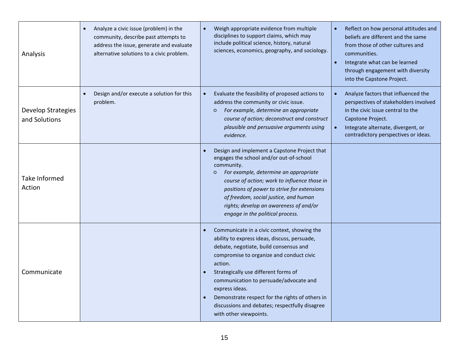| Analysis                            | Analyze a civic issue (problem) in the<br>community, describe past attempts to<br>address the issue, generate and evaluate<br>alternative solutions to a civic problem. | Weigh appropriate evidence from multiple<br>disciplines to support claims, which may<br>include political science, history, natural<br>sciences, economics, geography, and sociology.                                                                                                                                                                                                                                           | Reflect on how personal attitudes and<br>$\bullet$<br>beliefs are different and the same<br>from those of other cultures and<br>communities.<br>Integrate what can be learned<br>$\bullet$<br>through engagement with diversity<br>into the Capstone Project. |
|-------------------------------------|-------------------------------------------------------------------------------------------------------------------------------------------------------------------------|---------------------------------------------------------------------------------------------------------------------------------------------------------------------------------------------------------------------------------------------------------------------------------------------------------------------------------------------------------------------------------------------------------------------------------|---------------------------------------------------------------------------------------------------------------------------------------------------------------------------------------------------------------------------------------------------------------|
| Develop Strategies<br>and Solutions | Design and/or execute a solution for this<br>problem.                                                                                                                   | Evaluate the feasibility of proposed actions to<br>address the community or civic issue.<br>For example, determine an appropriate<br>$\circ$<br>course of action; deconstruct and construct<br>plausible and persuasive arguments using<br>evidence.                                                                                                                                                                            | Analyze factors that influenced the<br>perspectives of stakeholders involved<br>in the civic issue central to the<br>Capstone Project.<br>Integrate alternate, divergent, or<br>$\bullet$<br>contradictory perspectives or ideas.                             |
| Take Informed<br>Action             |                                                                                                                                                                         | Design and implement a Capstone Project that<br>engages the school and/or out-of-school<br>community.<br>For example, determine an appropriate<br>$\circ$<br>course of action; work to influence those in<br>positions of power to strive for extensions<br>of freedom, social justice, and human<br>rights; develop an awareness of and/or<br>engage in the political process.                                                 |                                                                                                                                                                                                                                                               |
| Communicate                         |                                                                                                                                                                         | Communicate in a civic context, showing the<br>ability to express ideas, discuss, persuade,<br>debate, negotiate, build consensus and<br>compromise to organize and conduct civic<br>action.<br>Strategically use different forms of<br>communication to persuade/advocate and<br>express ideas.<br>Demonstrate respect for the rights of others in<br>discussions and debates; respectfully disagree<br>with other viewpoints. |                                                                                                                                                                                                                                                               |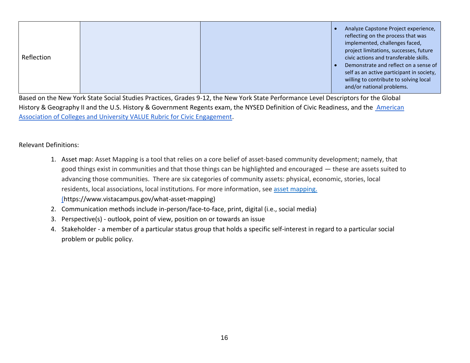| Analyze Capstone Project experience,<br>reflecting on the process that was<br>implemented, challenges faced,<br>project limitations, successes, future<br>Reflection<br>civic actions and transferable skills.<br>Demonstrate and reflect on a sense of<br>self as an active participant in society,<br>willing to contribute to solving local<br>and/or national problems. |
|-----------------------------------------------------------------------------------------------------------------------------------------------------------------------------------------------------------------------------------------------------------------------------------------------------------------------------------------------------------------------------|
|-----------------------------------------------------------------------------------------------------------------------------------------------------------------------------------------------------------------------------------------------------------------------------------------------------------------------------------------------------------------------------|

Based on the New York State Social Studies Practices, Grades 9-12, the New York State Performance Level Descriptors for the Global History & Geography II and the U.S. History & Government Regents exam, the NYSED Definition of Civic Readiness, and the American [Association of Colleges and University VALUE Rubric for Civic Engagement.](https://drive.google.com/file/d/1lTns3NRpgYHfbLQnQM_n0VpVNZ6Zf_E_/view?usp=sharing)

#### Relevant Definitions:

- 1. Asset map: Asset Mapping is a tool that relies on a core belief of asset-based community development; namely, that good things exist in communities and that those things can be highlighted and encouraged — these are assets suited to advancing those communities. There are six categories of community assets: physical, economic, stories, local residents, local associations, local institutions. For more information, see [asset mapping.](asset%20mapping.) (https://www.vistacampus.gov/what-asset-mapping)
- 2. Communication methods include in-person/face-to-face, print, digital (i.e., social media)
- 3. Perspective(s) outlook, point of view, position on or towards an issue
- 4. Stakeholder a member of a particular status group that holds a specific self-interest in regard to a particular social problem or public policy.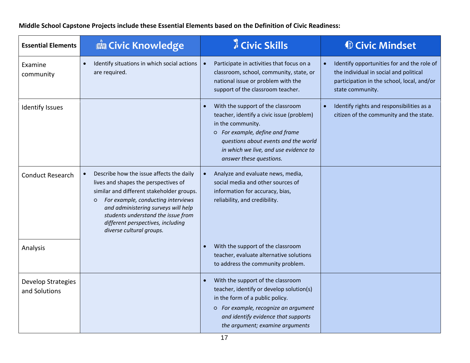**Essential Elements Calcular Extention Civic Knowledge Civic Skills Civic Mindset** Examine community • Identify situations in which social actions  $\overline{\phantom{a}}$ are required. • Participate in activities that focus on a classroom, school, community, state, or national issue or problem with the support of the classroom teacher. • Identify opportunities for and the role of the individual in social and political participation in the school, local, and/or state community. Identify Issues **Figure 1** and the support of the classroom teacher, identify a civic issue (problem) in the community. ○ *For example, define and frame questions about events and the world in which we live, and use evidence to answer these questions.* • Identify rights and responsibilities as a citizen of the community and the state. Conduct Research  $\|\cdot\|$  Describe how the issue affects the daily lives and shapes the perspectives of similar and different stakeholder groups. ○ *For example, conducting interviews and administering surveys will help students understand the issue from different perspectives, including diverse cultural groups.* • Analyze and evaluate news, media, social media and other sources of information for accuracy, bias, reliability, and credibility. Analysis **Figure 1.1 Analysis Figure 1.1 Constant 1.1 Constant 1.1 Constant 1.1 Constant 1.1 Constant 1.1 Constant 1.1 Constant 1.1 Constant 1.1 Constant 1.1 Constant 1.1 Constant 1.1 Constant 1** teacher, evaluate alternative solutions to address the community problem. Develop Strategies and Solutions • With the support of the classroom teacher, identify or develop solution(s) in the form of a public policy. ○ *For example, recognize an argument and identify evidence that supports the argument; examine arguments* 

**Middle School Capstone Projects include these Essential Elements based on the Definition of Civic Readiness:**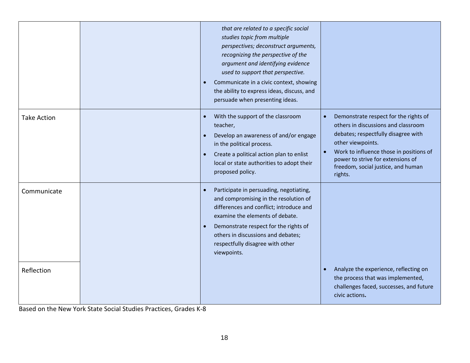|                    | that are related to a specific social<br>studies topic from multiple<br>perspectives; deconstruct arguments,<br>recognizing the perspective of the<br>argument and identifying evidence<br>used to support that perspective.<br>Communicate in a civic context, showing<br>the ability to express ideas, discuss, and<br>persuade when presenting ideas. |                                                                                                                                                                                                                                                                           |
|--------------------|----------------------------------------------------------------------------------------------------------------------------------------------------------------------------------------------------------------------------------------------------------------------------------------------------------------------------------------------------------|---------------------------------------------------------------------------------------------------------------------------------------------------------------------------------------------------------------------------------------------------------------------------|
| <b>Take Action</b> | With the support of the classroom<br>teacher,<br>Develop an awareness of and/or engage<br>in the political process.<br>Create a political action plan to enlist<br>local or state authorities to adopt their<br>proposed policy.                                                                                                                         | Demonstrate respect for the rights of<br>others in discussions and classroom<br>debates; respectfully disagree with<br>other viewpoints.<br>Work to influence those in positions of<br>power to strive for extensions of<br>freedom, social justice, and human<br>rights. |
| Communicate        | Participate in persuading, negotiating,<br>$\bullet$<br>and compromising in the resolution of<br>differences and conflict; introduce and<br>examine the elements of debate.<br>Demonstrate respect for the rights of<br>others in discussions and debates;<br>respectfully disagree with other<br>viewpoints.                                            |                                                                                                                                                                                                                                                                           |
| Reflection         |                                                                                                                                                                                                                                                                                                                                                          | Analyze the experience, reflecting on<br>$\bullet$<br>the process that was implemented,<br>challenges faced, successes, and future<br>civic actions.                                                                                                                      |

Based on the New York State Social Studies Practices, Grades K-8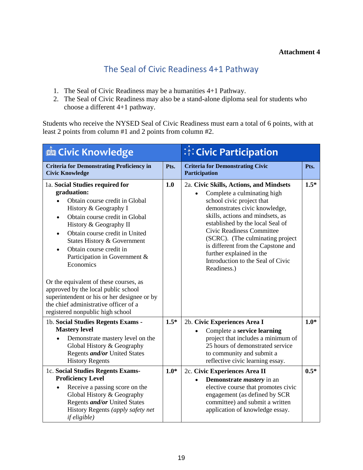## The Seal of Civic Readiness 4+1 Pathway

- 1. The Seal of Civic Readiness may be a humanities 4+1 Pathway.
- 2. The Seal of Civic Readiness may also be a stand-alone diploma seal for students who choose a different 4+1 pathway.

Students who receive the NYSED Seal of Civic Readiness must earn a total of 6 points, with at least 2 points from column #1 and 2 points from column #2.

| <b>E Civic Knowledge</b>                                                                                                                                                                                                                                                                                                                                                                                                                                                                                                                               |        | <b><i>M</i></b> Civic Participation                                                                                                                                                                                                                                                                                                                                                                  |        |
|--------------------------------------------------------------------------------------------------------------------------------------------------------------------------------------------------------------------------------------------------------------------------------------------------------------------------------------------------------------------------------------------------------------------------------------------------------------------------------------------------------------------------------------------------------|--------|------------------------------------------------------------------------------------------------------------------------------------------------------------------------------------------------------------------------------------------------------------------------------------------------------------------------------------------------------------------------------------------------------|--------|
| <b>Criteria for Demonstrating Proficiency in</b><br><b>Civic Knowledge</b>                                                                                                                                                                                                                                                                                                                                                                                                                                                                             | Pts.   | <b>Criteria for Demonstrating Civic</b><br>Participation                                                                                                                                                                                                                                                                                                                                             | Pts.   |
| 1a. Social Studies required for<br>graduation:<br>Obtain course credit in Global<br>History & Geography I<br>Obtain course credit in Global<br>$\bullet$<br>History & Geography II<br>Obtain course credit in United<br>States History & Government<br>Obtain course credit in<br>$\bullet$<br>Participation in Government &<br>Economics<br>Or the equivalent of these courses, as<br>approved by the local public school<br>superintendent or his or her designee or by<br>the chief administrative officer of a<br>registered nonpublic high school |        | 2a. Civic Skills, Actions, and Mindsets<br>Complete a culminating high<br>school civic project that<br>demonstrates civic knowledge,<br>skills, actions and mindsets, as<br>established by the local Seal of<br>Civic Readiness Committee<br>(SCRC). (The culminating project)<br>is different from the Capstone and<br>further explained in the<br>Introduction to the Seal of Civic<br>Readiness.) | $1.5*$ |
| 1b. Social Studies Regents Exams -<br><b>Mastery level</b><br>Demonstrate mastery level on the<br>$\bullet$<br>Global History & Geography<br>Regents <i>and/or</i> United States<br><b>History Regents</b>                                                                                                                                                                                                                                                                                                                                             | $1.5*$ | 2b. Civic Experiences Area I<br>Complete a service learning<br>$\bullet$<br>project that includes a minimum of<br>25 hours of demonstrated service<br>to community and submit a<br>reflective civic learning essay.                                                                                                                                                                                  | $1.0*$ |
| 1c. Social Studies Regents Exams-<br><b>Proficiency Level</b><br>Receive a passing score on the<br>$\bullet$<br>Global History & Geography<br>Regents <i>and/or</i> United States<br>History Regents (apply safety net<br><i>if eligible</i> )                                                                                                                                                                                                                                                                                                         | $1.0*$ | 2c. Civic Experiences Area II<br>Demonstrate <i>mastery</i> in an<br>$\bullet$<br>elective course that promotes civic<br>engagement (as defined by SCR<br>committee) and submit a written<br>application of knowledge essay.                                                                                                                                                                         | $0.5*$ |